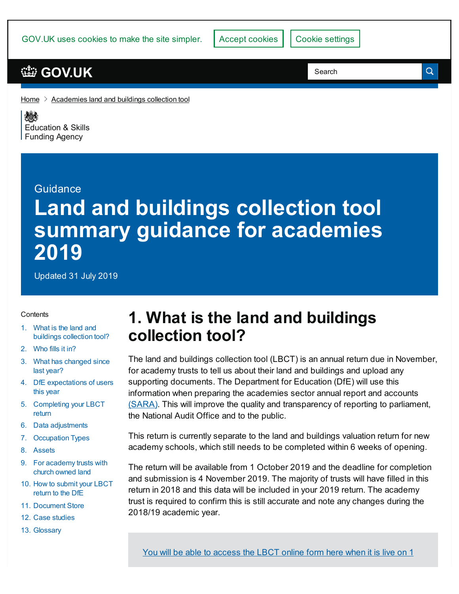| GOV.UK uses cookies to make the site simpler. | Accept cookies | Cookie settings |  |
|-----------------------------------------------|----------------|-----------------|--|
| 3 GOV.UK                                      |                | Search          |  |

[Home](https://www.gov.uk/)  $\geq$  [Academies](https://www.gov.uk/government/publications/academies-land-and-buildings-collection-tool) land and buildings collection tool

颂 [Education](https://www.gov.uk/government/organisations/education-and-skills-funding-agency) & Skills **Funding Agency** 

#### Guidance

# **Land and buildings collection tool summary guidance for academies 2019**

Updated 31 July 2019

#### **Contents**

- 1. What is the land and buildings [collection](#page-0-0) tool?
- 2. [Who](#page-1-0) fills it in?
- 3. What has [changed](#page-1-1) since last year?
- 4. DfE [expectations](#page-2-0) of users this year
- 5. [Completing](#page-3-0) your LBCT return
- 6. Data [adjustments](#page-5-0)
- 7. [Occupation](#page-6-0) Types
- 8. [Assets](#page-8-0)
- 9. For [academy](#page-10-0) trusts with church owned land
- 10. How to [submit](#page-12-0) your LBCT return to the DfE
- 11. [Document](#page-15-0) Store
- 12. Case [studies](#page-16-0)
- 13. [Glossary](#page-22-0)

## <span id="page-0-0"></span>**1. What is the land and buildings collection tool?**

The land and buildings collection tool (LBCT) is an annual return due in November, for academy trusts to tell us about their land and buildings and upload any supporting documents. The Department for Education (DfE) will use this information when preparing the academies sector annual report and accounts [\(SARA\)](https://www.gov.uk/guidance/academies-financial-returns). This will improve the quality and transparency of reporting to parliament, the National Audit Office and to the public.

This return is currently separate to the land and buildings valuation return for new academy schools, which still needs to be completed within 6 weeks of opening.

The return will be available from 1 October 2019 and the deadline for completion and submission is 4 November 2019. The majority of trusts will have filled in this return in 2018 and this data will be included in your 2019 return. The academy trust is required to confirm this is still accurate and note any changes during the 2018/19 academic year.

You will be able to [access](https://onlinecollections.des.fasst.org.uk/onlinecollections/) the LBCT online form here when it is live on 1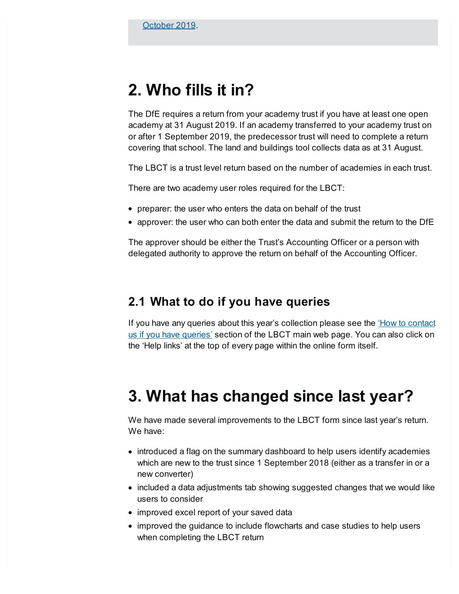## <span id="page-1-0"></span>**2. Who fills it in?**

The DfE requires a return from your academy trust if you have at least one open academy at 31 August 2019. If an academy transferred to your academy trust on or after 1 September 2019, the predecessor trust will need to complete a return covering that school. The land and buildings tool collects data as at 31 August.

The LBCT is a trust level return based on the number of academies in each trust.

There are two academy user roles required for the LBCT:

- preparer: the user who enters the data on behalf of the trust
- approver: the user who can both enter the data and submit the return to the DfE

The approver should be either the Trust's Accounting Officer or a person with delegated authority to approve the return on behalf of the Accounting Officer.

### **2.1 What to do if you have queries**

If you have any queries about this year's [collection](https://www.gov.uk/government/publications/academies-land-and-buildings-collection-tool#how-to-contact-us-if-you-have-queries) please see the *How to contact* us if you have queries' section of the LBCT main web page. You can also click on the 'Help links' at the top of every page within the online form itself.

## <span id="page-1-1"></span>**3. What has changed since last year?**

We have made several improvements to the LBCT form since last year's return. We have:

- introduced a flag on the summary dashboard to help users identify academies which are new to the trust since 1 September 2018 (either as a transfer in or a new converter)
- included a data adjustments tab showing suggested changes that we would like users to consider
- improved excel report of your saved data
- improved the quidance to include flowcharts and case studies to help users when completing the LBCT return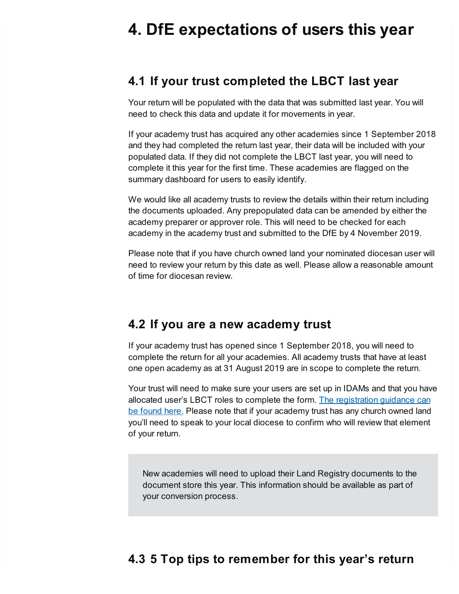## <span id="page-2-0"></span>**4. DfE expectations of users this year**

### **4.1 If your trust completed the LBCT last year**

Your return will be populated with the data that was submitted last year. You will need to check this data and update it for movements in year.

If your academy trust has acquired any other academies since 1 September 2018 and they had completed the return last year, their data will be included with your populated data. If they did not complete the LBCT last year, you will need to complete it this year for the first time. These academies are flagged on the summary dashboard for users to easily identify.

We would like all academy trusts to review the details within their return including the documents uploaded. Any prepopulated data can be amended by either the academy preparer or approver role. This will need to be checked for each academy in the academy trust and submitted to the DfE by 4 November 2019.

Please note that if you have church owned land your nominated diocesan user will need to review your return by this date as well. Please allow a reasonable amount of time for diocesan review.

### **4.2 If you are a new academy trust**

If your academy trust has opened since 1 September 2018, you will need to complete the return for all your academies. All academy trusts that have at least one open academy as at 31 August 2019 are in scope to complete the return.

Your trust will need to make sure your users are set up in IDAMs and that you have allocated user's LBCT roles to complete the form. The [registration](https://www.gov.uk/government/publications/how-to-register-for-an-idams-account) guidance can be found here. Please note that if your academy trust has any church owned land you'll need to speak to your local diocese to confirm who will review that element of your return.

New academies will need to upload their Land Registry documents to the document store this year. This information should be available as part of your conversion process.

## **4.3 5 Top tips to remember for this year's return**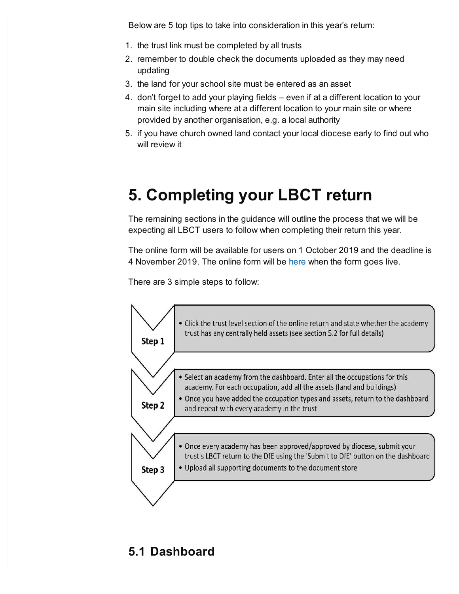Below are 5 top tips to take into consideration in this year's return:

- 1. the trust link must be completed by all trusts
- 2. remember to double check the documents uploaded as they may need updating
- 3. the land for your school site must be entered as an asset
- 4. don't forget to add your playing fields even if at a different location to your main site including where at a different location to your main site or where provided by another organisation, e.g. a local authority
- 5. if you have church owned land contact your local diocese early to find out who will review it

## <span id="page-3-0"></span>**5. Completing your LBCT return**

The remaining sections in the guidance will outline the process that we will be expecting all LBCT users to follow when completing their return this year.

The online form will be available for users on 1 October 2019 and the deadline is 4 November 2019. The online form will be [here](https://onlinecollections.des.fasst.org.uk/onlinecollections/) when the form goes live.

There are 3 simple steps to follow:



## **5.1 Dashboard**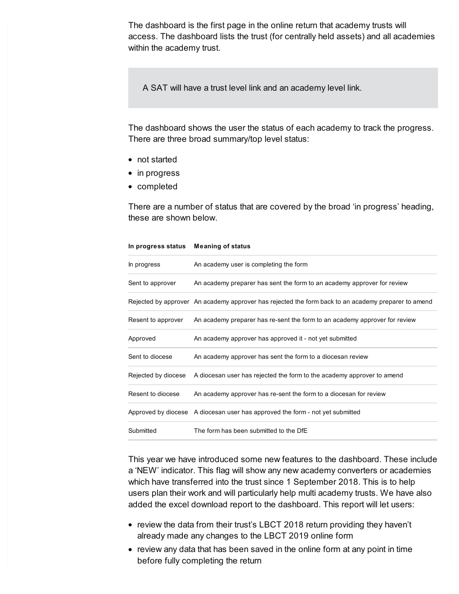The dashboard is the first page in the online return that academy trusts will access. The dashboard lists the trust (for centrally held assets) and all academies within the academy trust.

A SAT will have a trust level link and an academy level link.

The dashboard shows the user the status of each academy to track the progress. There are three broad summary/top level status:

- not started
- in progress
- completed

There are a number of status that are covered by the broad 'in progress' heading, these are shown below.

| In progress         | An academy user is completing the form                                                              |
|---------------------|-----------------------------------------------------------------------------------------------------|
| Sent to approver    | An academy preparer has sent the form to an academy approver for review                             |
|                     | Rejected by approver An academy approver has rejected the form back to an academy preparer to amend |
| Resent to approver  | An academy preparer has re-sent the form to an academy approver for review                          |
| Approved            | An academy approver has approved it - not yet submitted                                             |
| Sent to diocese     | An academy approver has sent the form to a diocesan review                                          |
| Rejected by diocese | A diocesan user has rejected the form to the academy approver to amend                              |
| Resent to diocese   | An academy approver has re-sent the form to a diocesan for review                                   |
|                     | Approved by diocese A diocesan user has approved the form - not yet submitted                       |
| Submitted           | The form has been submitted to the DfE                                                              |

**In progress status Meaning of status**

This year we have introduced some new features to the dashboard. These include a 'NEW' indicator. This flag will show any new academy converters or academies which have transferred into the trust since 1 September 2018. This is to help users plan their work and will particularly help multi academy trusts. We have also added the excel download report to the dashboard. This report will let users:

- review the data from their trust's LBCT 2018 return providing they haven't already made any changes to the LBCT 2019 online form
- review any data that has been saved in the online form at any point in time before fully completing the return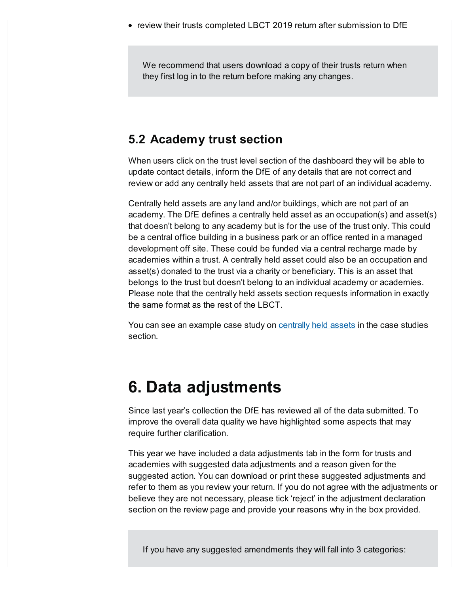• review their trusts completed LBCT 2019 return after submission to DfE

We recommend that users download a copy of their trusts return when they first log in to the return before making any changes.

### **5.2 Academy trust section**

When users click on the trust level section of the dashboard they will be able to update contact details, inform the DfE of any details that are not correct and review or add any centrally held assets that are not part of an individual academy.

Centrally held assets are any land and/or buildings, which are not part of an academy. The DfE defines a centrally held asset as an occupation(s) and asset(s) that doesn't belong to any academy but is for the use of the trust only. This could be a central office building in a business park or an office rented in a managed development off site. These could be funded via a central recharge made by academies within a trust. A centrally held asset could also be an occupation and asset(s) donated to the trust via a charity or beneficiary. This is an asset that belongs to the trust but doesn't belong to an individual academy or academies. Please note that the centrally held assets section requests information in exactly the same format as the rest of the LBCT.

You can see an example case study on [centrally](#page-16-1) held assets in the case studies section.

## <span id="page-5-0"></span>**6. Data adjustments**

Since last year's collection the DfE has reviewed all of the data submitted. To improve the overall data quality we have highlighted some aspects that may require further clarification.

This year we have included a data adjustments tab in the form for trusts and academies with suggested data adjustments and a reason given for the suggested action. You can download or print these suggested adjustments and refer to them as you review your return. If you do not agree with the adjustments or believe they are not necessary, please tick 'reject' in the adjustment declaration section on the review page and provide your reasons why in the box provided.

If you have any suggested amendments they will fall into 3 categories: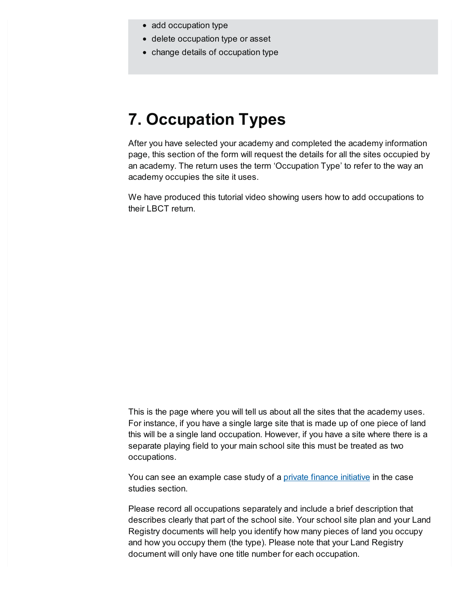- add occupation type
- delete occupation type or asset
- change details of occupation type

## <span id="page-6-0"></span>**7. Occupation Types**

After you have selected your academy and completed the academy information page, this section of the form will request the details for all the sites occupied by an academy. The return uses the term 'Occupation Type' to refer to the way an academy occupies the site it uses.

We have produced this tutorial video showing users how to add occupations to their LBCT return.

This is the page where you will tell us about all the sites that the academy uses. For instance, if you have a single large site that is made up of one piece of land this will be a single land occupation. However, if you have a site where there is a separate playing field to your main school site this must be treated as two occupations.

You can see an example case study of a private finance [initiative](#page-18-0) in the case studies section.

Please record all occupations separately and include a brief description that describes clearly that part of the school site. Your school site plan and your Land Registry documents will help you identify how many pieces of land you occupy and how you occupy them (the type). Please note that your Land Registry document will only have one title number for each occupation.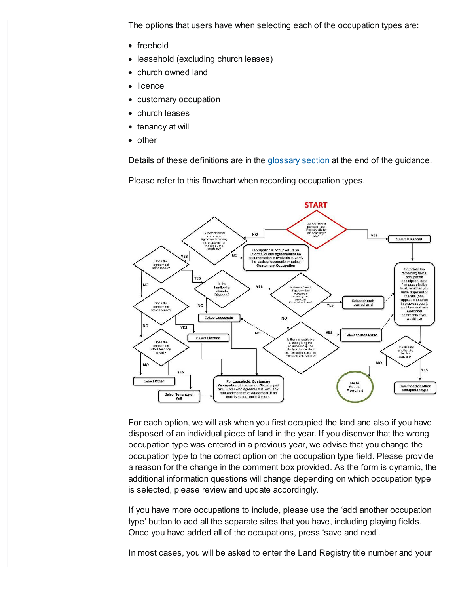The options that users have when selecting each of the occupation types are:

- freehold
- leasehold (excluding church leases)
- church owned land
- licence
- customary occupation
- church leases
- tenancy at will
- other

Details of these definitions are in the [glossary](#page-22-0) section at the end of the guidance.

Please refer to this flowchart when recording occupation types.



For each option, we will ask when you first occupied the land and also if you have disposed of an individual piece of land in the year. If you discover that the wrong occupation type was entered in a previous year, we advise that you change the occupation type to the correct option on the occupation type field. Please provide a reason for the change in the comment box provided. As the form is dynamic, the additional information questions will change depending on which occupation type is selected, please review and update accordingly.

If you have more occupations to include, please use the 'add another occupation type' button to add all the separate sites that you have, including playing fields. Once you have added all of the occupations, press 'save and next'.

In most cases, you will be asked to enter the Land Registry title number and your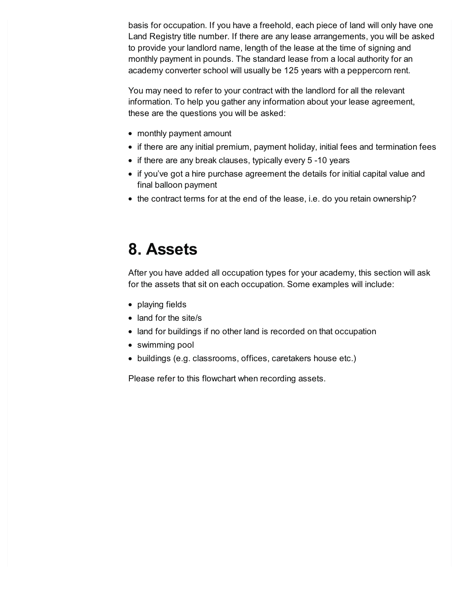basis for occupation. If you have a freehold, each piece of land will only have one Land Registry title number. If there are any lease arrangements, you will be asked to provide your landlord name, length of the lease at the time of signing and monthly payment in pounds. The standard lease from a local authority for an academy converter school will usually be 125 years with a peppercorn rent.

You may need to refer to your contract with the landlord for all the relevant information. To help you gather any information about your lease agreement, these are the questions you will be asked:

- monthly payment amount
- if there are any initial premium, payment holiday, initial fees and termination fees
- if there are any break clauses, typically every 5 -10 years
- if you've got a hire purchase agreement the details for initial capital value and final balloon payment
- the contract terms for at the end of the lease, i.e. do you retain ownership?

## <span id="page-8-0"></span>**8. Assets**

After you have added all occupation types for your academy, this section will ask for the assets that sit on each occupation. Some examples will include:

- playing fields
- land for the site/s
- land for buildings if no other land is recorded on that occupation
- swimming pool
- buildings (e.g. classrooms, offices, caretakers house etc.)

Please refer to this flowchart when recording assets.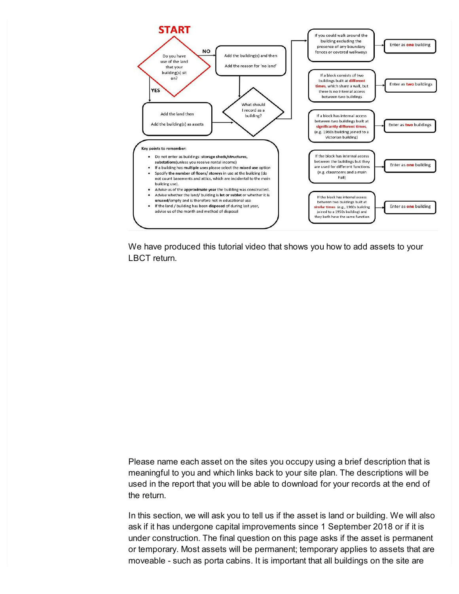

We have produced this tutorial video that shows you how to add assets to your LBCT return.

Please name each asset on the sites you occupy using a brief description that is meaningful to you and which links back to your site plan. The descriptions will be used in the report that you will be able to download for your records at the end of the return.

In this section, we will ask you to tell us if the asset is land or building. We will also ask if it has undergone capital improvements since 1 September 2018 or if it is under construction. The final question on this page asks if the asset is permanent or temporary. Most assets will be permanent; temporary applies to assets that are moveable - such as porta cabins. It is important that all buildings on the site are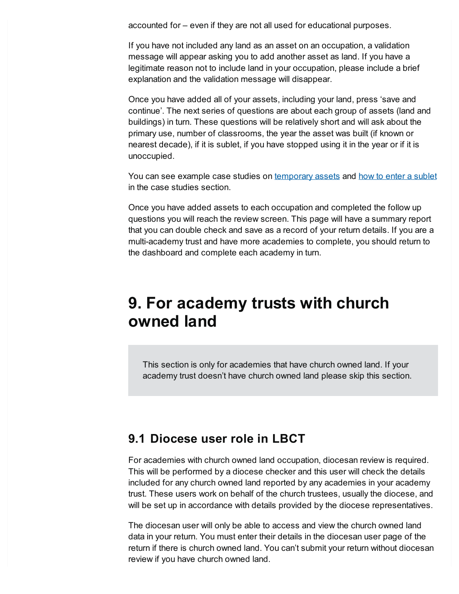accounted for – even if they are not all used for educational purposes.

If you have not included any land as an asset on an occupation, a validation message will appear asking you to add another asset as land. If you have a legitimate reason not to include land in your occupation, please include a brief explanation and the validation message will disappear.

Once you have added all of your assets, including your land, press 'save and continue'. The next series of questions are about each group of assets (land and buildings) in turn. These questions will be relatively short and will ask about the primary use, number of classrooms, the year the asset was built (if known or nearest decade), if it is sublet, if you have stopped using it in the year or if it is unoccupied.

You can see example case studies on [temporary](#page-20-0) assets and how to enter a [sublet](#page-17-0) in the case studies section.

Once you have added assets to each occupation and completed the follow up questions you will reach the review screen. This page will have a summary report that you can double check and save as a record of your return details. If you are a multi-academy trust and have more academies to complete, you should return to the dashboard and complete each academy in turn.

## <span id="page-10-0"></span>**9. For academy trusts with church owned land**

This section is only for academies that have church owned land. If your academy trust doesn't have church owned land please skip this section.

### **9.1 Diocese user role in LBCT**

For academies with church owned land occupation, diocesan review is required. This will be performed by a diocese checker and this user will check the details included for any church owned land reported by any academies in your academy trust. These users work on behalf of the church trustees, usually the diocese, and will be set up in accordance with details provided by the diocese representatives.

The diocesan user will only be able to access and view the church owned land data in your return. You must enter their details in the diocesan user page of the return if there is church owned land. You can't submit your return without diocesan review if you have church owned land.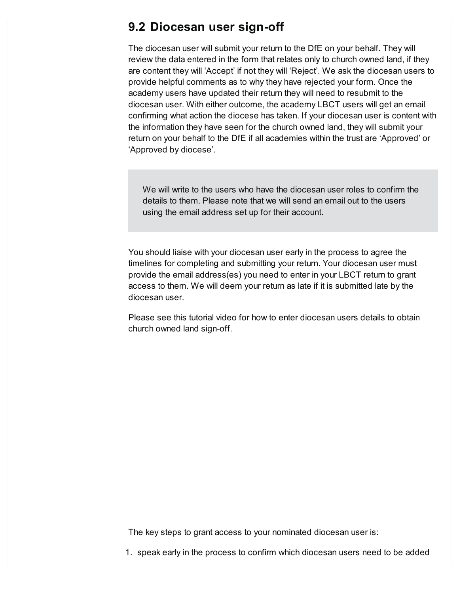### **9.2 Diocesan user sign-off**

The diocesan user will submit your return to the DfE on your behalf. They will review the data entered in the form that relates only to church owned land, if they are content they will 'Accept' if not they will 'Reject'. We ask the diocesan users to provide helpful comments as to why they have rejected your form. Once the academy users have updated their return they will need to resubmit to the diocesan user. With either outcome, the academy LBCT users will get an email confirming what action the diocese has taken. If your diocesan user is content with the information they have seen for the church owned land, they will submit your return on your behalf to the DfE if all academies within the trust are 'Approved' or 'Approved by diocese'.

We will write to the users who have the diocesan user roles to confirm the details to them. Please note that we will send an email out to the users using the email address set up for their account.

You should liaise with your diocesan user early in the process to agree the timelines for completing and submitting your return. Your diocesan user must provide the email address(es) you need to enter in your LBCT return to grant access to them. We will deem your return as late if it is submitted late by the diocesan user.

Please see this tutorial video for how to enter diocesan users details to obtain church owned land sign-off.

The key steps to grant access to your nominated diocesan user is:

1. speak early in the process to confirm which diocesan users need to be added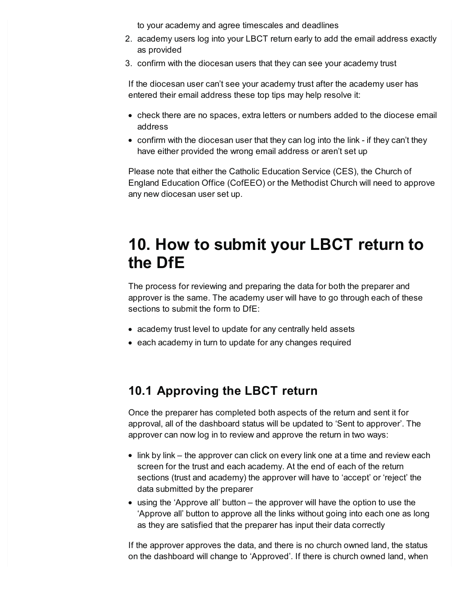to your academy and agree timescales and deadlines

- 2. academy users log into your LBCT return early to add the email address exactly as provided
- 3. confirm with the diocesan users that they can see your academy trust

If the diocesan user can't see your academy trust after the academy user has entered their email address these top tips may help resolve it:

- check there are no spaces, extra letters or numbers added to the diocese email address
- confirm with the diocesan user that they can log into the link if they can't they have either provided the wrong email address or aren't set up

Please note that either the Catholic Education Service (CES), the Church of England Education Office (CofEEO) or the Methodist Church will need to approve any new diocesan user set up.

## <span id="page-12-0"></span>**10. How to submit your LBCT return to the DfE**

The process for reviewing and preparing the data for both the preparer and approver is the same. The academy user will have to go through each of these sections to submit the form to DfE:

- academy trust level to update for any centrally held assets
- each academy in turn to update for any changes required

## **10.1 Approving the LBCT return**

Once the preparer has completed both aspects of the return and sent it for approval, all of the dashboard status will be updated to 'Sent to approver'. The approver can now log in to review and approve the return in two ways:

- link by link the approver can click on every link one at a time and review each screen for the trust and each academy. At the end of each of the return sections (trust and academy) the approver will have to 'accept' or 'reject' the data submitted by the preparer
- using the 'Approve all' button the approver will have the option to use the 'Approve all' button to approve all the links without going into each one as long as they are satisfied that the preparer has input their data correctly

If the approver approves the data, and there is no church owned land, the status on the dashboard will change to 'Approved'. If there is church owned land, when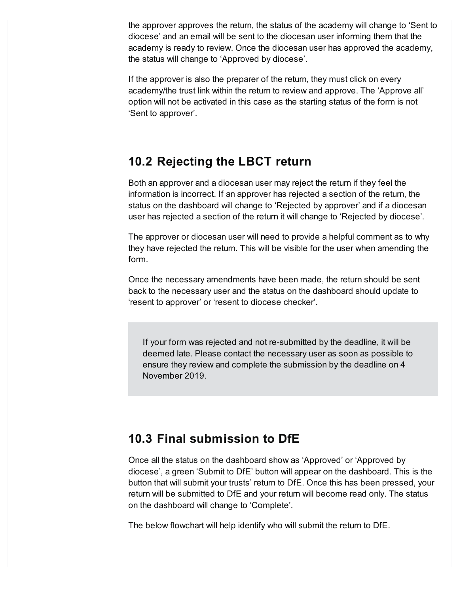the approver approves the return, the status of the academy will change to 'Sent to diocese' and an email will be sent to the diocesan user informing them that the academy is ready to review. Once the diocesan user has approved the academy, the status will change to 'Approved by diocese'.

If the approver is also the preparer of the return, they must click on every academy/the trust link within the return to review and approve. The 'Approve all' option will not be activated in this case as the starting status of the form is not 'Sent to approver'.

## **10.2 Rejecting the LBCT return**

Both an approver and a diocesan user may reject the return if they feel the information is incorrect. If an approver has rejected a section of the return, the status on the dashboard will change to 'Rejected by approver' and if a diocesan user has rejected a section of the return it will change to 'Rejected by diocese'.

The approver or diocesan user will need to provide a helpful comment as to why they have rejected the return. This will be visible for the user when amending the form.

Once the necessary amendments have been made, the return should be sent back to the necessary user and the status on the dashboard should update to 'resent to approver' or 'resent to diocese checker'.

If your form was rejected and not re-submitted by the deadline, it will be deemed late. Please contact the necessary user as soon as possible to ensure they review and complete the submission by the deadline on 4 November 2019.

## **10.3 Final submission to DfE**

Once all the status on the dashboard show as 'Approved' or 'Approved by diocese', a green 'Submit to DfE' button will appear on the dashboard. This is the button that will submit your trusts' return to DfE. Once this has been pressed, your return will be submitted to DfE and your return will become read only. The status on the dashboard will change to 'Complete'.

The below flowchart will help identify who will submit the return to DfE.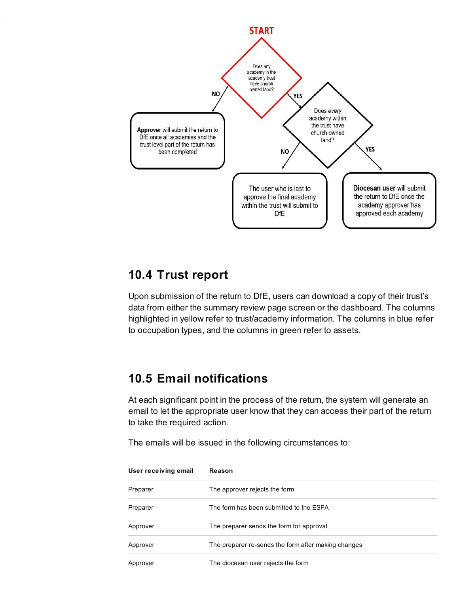

## **10.4 Trust report**

Upon submission of the return to DfE, users can download a copy of their trust's data from either the summary review page screen or the dashboard. The columns highlighted in yellow refer to trust/academy information. The columns in blue refer to occupation types, and the columns in green refer to assets.

## **10.5 Email notifications**

At each significant point in the process of the return, the system will generate an email to let the appropriate user know that they can access their part of the return to take the required action.

The emails will be issued in the following circumstances to:

| User receiving email | Reason                                              |
|----------------------|-----------------------------------------------------|
| Preparer             | The approver rejects the form                       |
| Preparer             | The form has been submitted to the ESFA             |
| Approver             | The preparer sends the form for approval            |
| Approver             | The preparer re-sends the form after making changes |
| Approver             | The diocesan user rejects the form                  |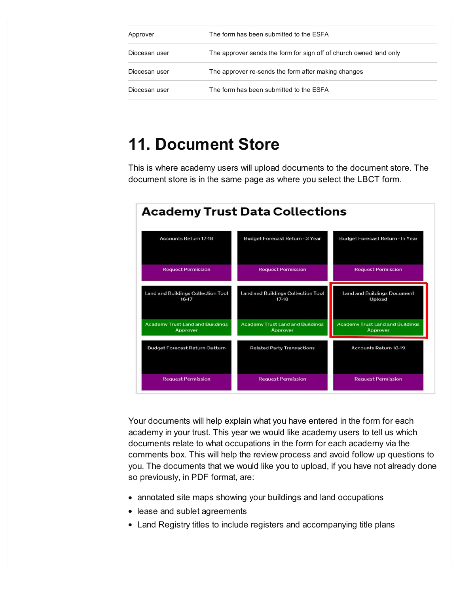| Approver      | The form has been submitted to the ESFA                            |
|---------------|--------------------------------------------------------------------|
| Diocesan user | The approver sends the form for sign off of church owned land only |
| Diocesan user | The approver re-sends the form after making changes                |
| Diocesan user | The form has been submitted to the FSFA                            |

## <span id="page-15-0"></span>**11. Document Store**

This is where academy users will upload documents to the document store. The document store is in the same page as where you select the LBCT form.



Your documents will help explain what you have entered in the form for each academy in your trust. This year we would like academy users to tell us which documents relate to what occupations in the form for each academy via the comments box. This will help the review process and avoid follow up questions to you. The documents that we would like you to upload, if you have not already done so previously, in PDF format, are:

- annotated site maps showing your buildings and land occupations
- lease and sublet agreements
- Land Registry titles to include registers and accompanying title plans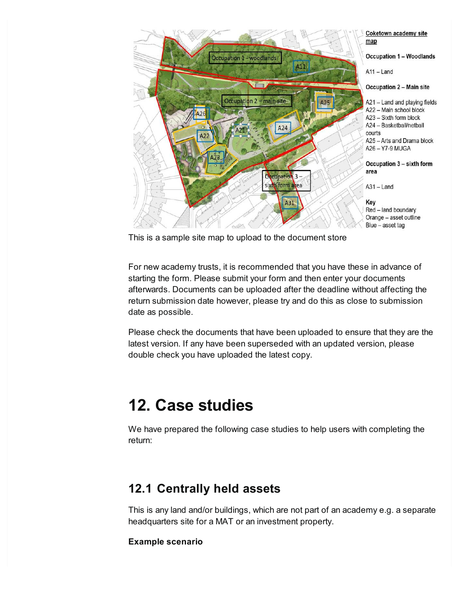

This is a sample site map to upload to the document store

For new academy trusts, it is recommended that you have these in advance of starting the form. Please submit your form and then enter your documents afterwards. Documents can be uploaded after the deadline without affecting the return submission date however, please try and do this as close to submission date as possible.

Please check the documents that have been uploaded to ensure that they are the latest version. If any have been superseded with an updated version, please double check you have uploaded the latest copy.

## <span id="page-16-0"></span>**12. Case studies**

We have prepared the following case studies to help users with completing the return:

## <span id="page-16-1"></span>**12.1 Centrally held assets**

This is any land and/or buildings, which are not part of an academy e.g. a separate headquarters site for a MAT or an investment property.

### **Example scenario**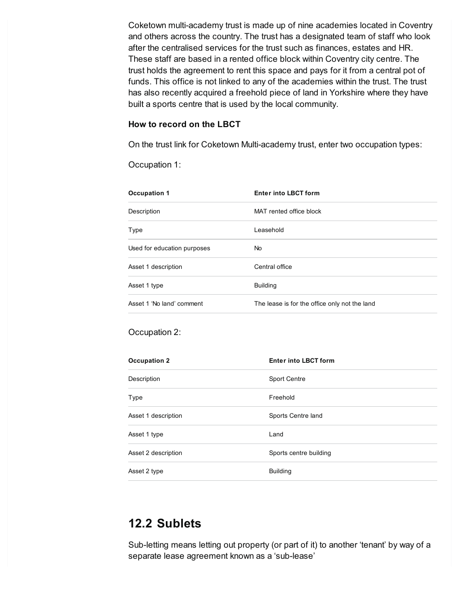Coketown multi-academy trust is made up of nine academies located in Coventry and others across the country. The trust has a designated team of staff who look after the centralised services for the trust such as finances, estates and HR. These staff are based in a rented office block within Coventry city centre. The trust holds the agreement to rent this space and pays for it from a central pot of funds. This office is not linked to any of the academies within the trust. The trust has also recently acquired a freehold piece of land in Yorkshire where they have built a sports centre that is used by the local community.

#### **How to record on the LBCT**

On the trust link for Coketown Multi-academy trust, enter two occupation types:

Occupation 1:

| <b>Occupation 1</b>         | <b>Enter into LBCT form</b>                   |
|-----------------------------|-----------------------------------------------|
| Description                 | MAT rented office block                       |
| Type                        | Leasehold                                     |
| Used for education purposes | No.                                           |
| Asset 1 description         | Central office                                |
| Asset 1 type                | <b>Building</b>                               |
| Asset 1 'No land' comment   | The lease is for the office only not the land |
|                             |                                               |

#### Occupation 2:

| <b>Occupation 2</b> | <b>Enter into LBCT form</b> |
|---------------------|-----------------------------|
| Description         | <b>Sport Centre</b>         |
| Type                | Freehold                    |
| Asset 1 description | Sports Centre land          |
| Asset 1 type        | Land                        |
| Asset 2 description | Sports centre building      |
| Asset 2 type        | <b>Building</b>             |

### <span id="page-17-0"></span>**12.2 Sublets**

Sub-letting means letting out property (or part of it) to another 'tenant' by way of a separate lease agreement known as a 'sub-lease'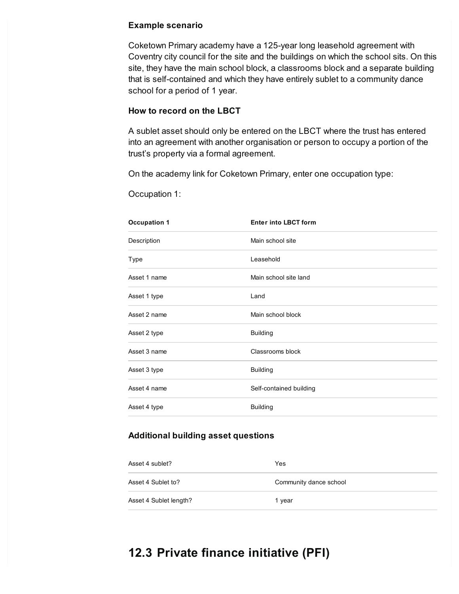#### **Example scenario**

Coketown Primary academy have a 125-year long leasehold agreement with Coventry city council for the site and the buildings on which the school sits. On this site, they have the main school block, a classrooms block and a separate building that is self-contained and which they have entirely sublet to a community dance school for a period of 1 year.

#### **How to record on the LBCT**

A sublet asset should only be entered on the LBCT where the trust has entered into an agreement with another organisation or person to occupy a portion of the trust's property via a formal agreement.

On the academy link for Coketown Primary, enter one occupation type:

Occupation 1:

| <b>Occupation 1</b> | <b>Enter into LBCT form</b> |
|---------------------|-----------------------------|
| Description         | Main school site            |
| Type                | Leasehold                   |
| Asset 1 name        | Main school site land       |
| Asset 1 type        | Land                        |
| Asset 2 name        | Main school block           |
| Asset 2 type        | <b>Building</b>             |
| Asset 3 name        | Classrooms block            |
| Asset 3 type        | <b>Building</b>             |
| Asset 4 name        | Self-contained building     |
| Asset 4 type        | <b>Building</b>             |

#### **Additional building asset questions**

| Asset 4 sublet?        | Yes                    |
|------------------------|------------------------|
| Asset 4 Sublet to?     | Community dance school |
| Asset 4 Sublet length? | 1 year                 |

## <span id="page-18-0"></span>**12.3 Private finance initiative (PFI)**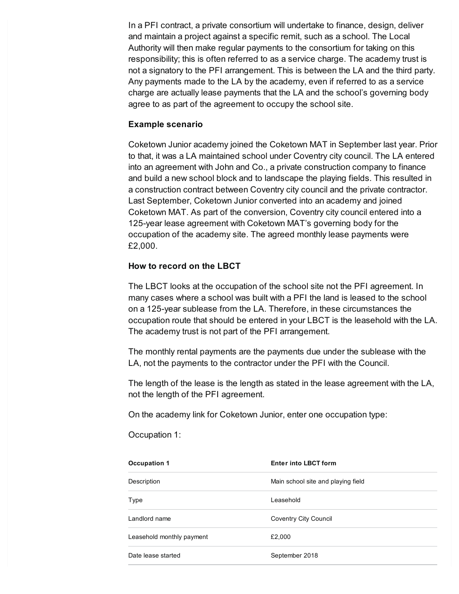In a PFI contract, a private consortium will undertake to finance, design, deliver and maintain a project against a specific remit, such as a school. The Local Authority will then make regular payments to the consortium for taking on this responsibility; this is often referred to as a service charge. The academy trust is not a signatory to the PFI arrangement. This is between the LA and the third party. Any payments made to the LA by the academy, even if referred to as a service charge are actually lease payments that the LA and the school's governing body agree to as part of the agreement to occupy the school site.

#### **Example scenario**

Coketown Junior academy joined the Coketown MAT in September last year. Prior to that, it was a LA maintained school under Coventry city council. The LA entered into an agreement with John and Co., a private construction company to finance and build a new school block and to landscape the playing fields. This resulted in a construction contract between Coventry city council and the private contractor. Last September, Coketown Junior converted into an academy and joined Coketown MAT. As part of the conversion, Coventry city council entered into a 125-year lease agreement with Coketown MAT's governing body for the occupation of the academy site. The agreed monthly lease payments were £2,000.

#### **How to record on the LBCT**

The LBCT looks at the occupation of the school site not the PFI agreement. In many cases where a school was built with a PFI the land is leased to the school on a 125-year sublease from the LA. Therefore, in these circumstances the occupation route that should be entered in your LBCT is the leasehold with the LA. The academy trust is not part of the PFI arrangement.

The monthly rental payments are the payments due under the sublease with the LA, not the payments to the contractor under the PFI with the Council.

The length of the lease is the length as stated in the lease agreement with the LA, not the length of the PFI agreement.

On the academy link for Coketown Junior, enter one occupation type:

Occupation 1:

| <b>Occupation 1</b>       | <b>Enter into LBCT form</b>        |
|---------------------------|------------------------------------|
| Description               | Main school site and playing field |
| Type                      | Leasehold                          |
| Landlord name             | <b>Coventry City Council</b>       |
| Leasehold monthly payment | £2,000                             |
| Date lease started        | September 2018                     |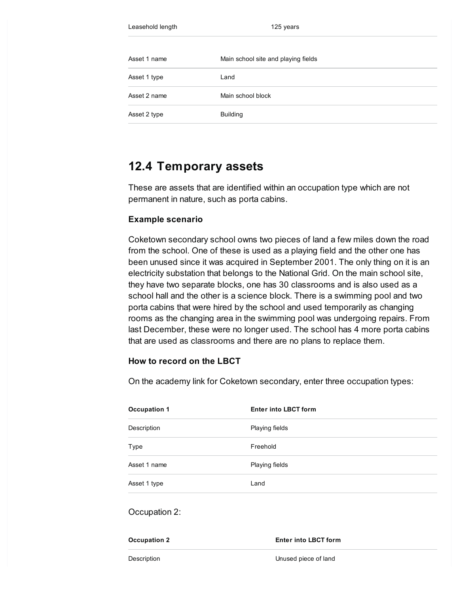| Leasehold length | 125 years                           |  |
|------------------|-------------------------------------|--|
| Asset 1 name     | Main school site and playing fields |  |
| Asset 1 type     | Land                                |  |
| Asset 2 name     | Main school block                   |  |
| Asset 2 type     | <b>Building</b>                     |  |

## <span id="page-20-0"></span>**12.4 Temporary assets**

These are assets that are identified within an occupation type which are not permanent in nature, such as porta cabins.

#### **Example scenario**

Coketown secondary school owns two pieces of land a few miles down the road from the school. One of these is used as a playing field and the other one has been unused since it was acquired in September 2001. The only thing on it is an electricity substation that belongs to the National Grid. On the main school site, they have two separate blocks, one has 30 classrooms and is also used as a school hall and the other is a science block. There is a swimming pool and two porta cabins that were hired by the school and used temporarily as changing rooms as the changing area in the swimming pool was undergoing repairs. From last December, these were no longer used. The school has 4 more porta cabins that are used as classrooms and there are no plans to replace them.

#### **How to record on the LBCT**

On the academy link for Coketown secondary, enter three occupation types:

| <b>Occupation 1</b> | <b>Enter into LBCT form</b> |
|---------------------|-----------------------------|
| Description         | Playing fields              |
| Type                | Freehold                    |
| Asset 1 name        | Playing fields              |
| Asset 1 type        | Land                        |

#### Occupation 2:

| <b>Occupation 2</b> | <b>Enter into LBCT form</b> |  |
|---------------------|-----------------------------|--|
| Description         | Unused piece of land        |  |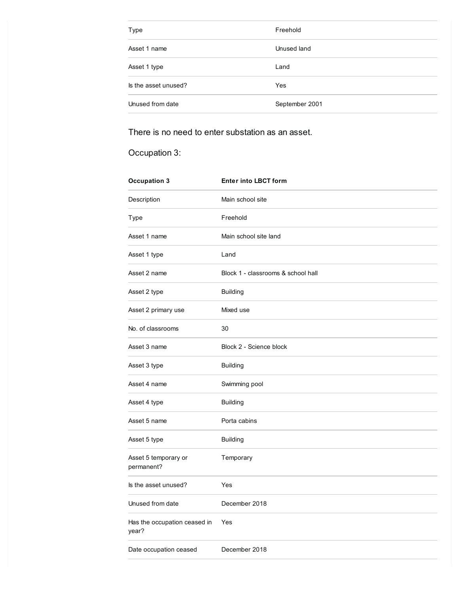| Type                 | Freehold       |
|----------------------|----------------|
| Asset 1 name         | Unused land    |
| Asset 1 type         | Land           |
| Is the asset unused? | Yes            |
| Unused from date     | September 2001 |
|                      |                |

There is no need to enter substation as an asset.

Occupation 3:

| <b>Occupation 3</b>                   | <b>Enter into LBCT form</b>        |
|---------------------------------------|------------------------------------|
| Description                           | Main school site                   |
| Type                                  | Freehold                           |
| Asset 1 name                          | Main school site land              |
| Asset 1 type                          | Land                               |
| Asset 2 name                          | Block 1 - classrooms & school hall |
| Asset 2 type                          | <b>Building</b>                    |
| Asset 2 primary use                   | Mixed use                          |
| No. of classrooms                     | 30                                 |
| Asset 3 name                          | Block 2 - Science block            |
| Asset 3 type                          | <b>Building</b>                    |
| Asset 4 name                          | Swimming pool                      |
| Asset 4 type                          | <b>Building</b>                    |
| Asset 5 name                          | Porta cabins                       |
| Asset 5 type                          | <b>Building</b>                    |
| Asset 5 temporary or<br>permanent?    | Temporary                          |
| Is the asset unused?                  | Yes                                |
| Unused from date                      | December 2018                      |
| Has the occupation ceased in<br>year? | Yes                                |
| Date occupation ceased                | December 2018                      |
|                                       |                                    |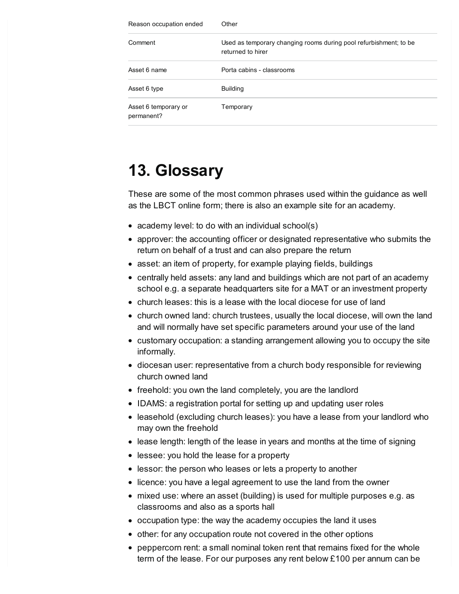| Reason occupation ended            | Other                                                                                  |
|------------------------------------|----------------------------------------------------------------------------------------|
| Comment                            | Used as temporary changing rooms during pool refurbishment; to be<br>returned to hirer |
| Asset 6 name                       | Porta cabins - classrooms                                                              |
| Asset 6 type                       | <b>Building</b>                                                                        |
| Asset 6 temporary or<br>permanent? | Temporary                                                                              |

## <span id="page-22-0"></span>**13. Glossary**

These are some of the most common phrases used within the guidance as well as the LBCT online form; there is also an example site for an academy.

- academy level: to do with an individual school(s)
- approver: the accounting officer or designated representative who submits the return on behalf of a trust and can also prepare the return
- asset: an item of property, for example playing fields, buildings
- centrally held assets: any land and buildings which are not part of an academy school e.g. a separate headquarters site for a MAT or an investment property
- church leases: this is a lease with the local diocese for use of land
- church owned land: church trustees, usually the local diocese, will own the land and will normally have set specific parameters around your use of the land
- customary occupation: a standing arrangement allowing you to occupy the site informally.
- diocesan user: representative from a church body responsible for reviewing church owned land
- freehold: you own the land completely, you are the landlord
- IDAMS: a registration portal for setting up and updating user roles
- leasehold (excluding church leases): you have a lease from your landlord who may own the freehold
- lease length: length of the lease in years and months at the time of signing
- lessee: you hold the lease for a property
- lessor: the person who leases or lets a property to another
- licence: you have a legal agreement to use the land from the owner
- mixed use: where an asset (building) is used for multiple purposes e.g. as classrooms and also as a sports hall
- occupation type: the way the academy occupies the land it uses
- other: for any occupation route not covered in the other options
- peppercorn rent: a small nominal token rent that remains fixed for the whole term of the lease. For our purposes any rent below £100 per annum can be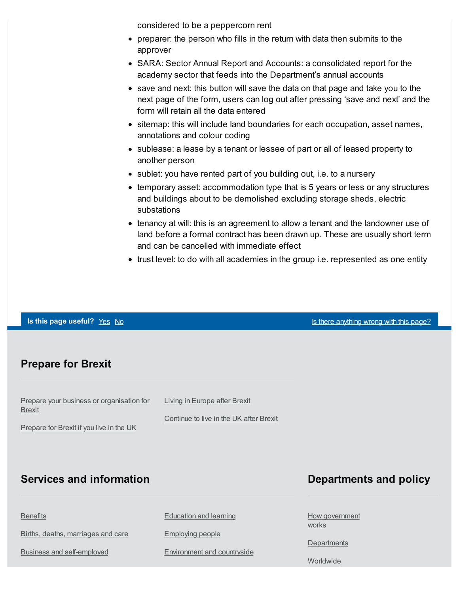considered to be a peppercorn rent

- preparer: the person who fills in the return with data then submits to the approver
- SARA: Sector Annual Report and Accounts: a consolidated report for the academy sector that feeds into the Department's annual accounts
- save and next: this button will save the data on that page and take you to the next page of the form, users can log out after pressing 'save and next' and the form will retain all the data entered
- sitemap: this will include land boundaries for each occupation, asset names, annotations and colour coding
- sublease: a lease by a tenant or lessee of part or all of leased property to another person
- sublet: you have rented part of you building out, i.e. to a nursery
- temporary asset: accommodation type that is 5 years or less or any structures and buildings about to be demolished excluding storage sheds, electric substations
- tenancy at will: this is an agreement to allow a tenant and the landowner use of land before a formal contract has been drawn up. These are usually short term and can be cancelled with immediate effect
- trust level: to do with all academies in the group i.e. represented as one entity

**Is this page useful?** [Yes](https://www.gov.uk/contact/govuk) [No](https://www.gov.uk/contact/govuk) Is the Table of the Control of the Islam School and Table of the Anything wrong with this page?

### **Prepare for Brexit**

Prepare your business or [organisation](https://www.gov.uk/business-uk-leaving-eu) for Brexit Living in [Europe](https://www.gov.uk/uk-nationals-living-eu) after Brexit

[Prepare](https://www.gov.uk/prepare-eu-exit) for Brexit if you live in the UK

[Continue](https://www.gov.uk/staying-uk-eu-citizen) to live in the UK after Brexit

### **Services and information**

### **Departments and policy**

**[Benefits](https://www.gov.uk/browse/benefits)** 

Births, deaths, [marriages](https://www.gov.uk/browse/births-deaths-marriages) and care

Business and [self-employed](https://www.gov.uk/browse/business)

[Education](https://www.gov.uk/browse/education) and learning

[Employing](https://www.gov.uk/browse/employing-people) people

[Environment](https://www.gov.uk/browse/environment-countryside) and countryside

How [government](https://www.gov.uk/government/how-government-works) works

**[Departments](https://www.gov.uk/government/organisations)** 

**[Worldwide](https://www.gov.uk/world)**